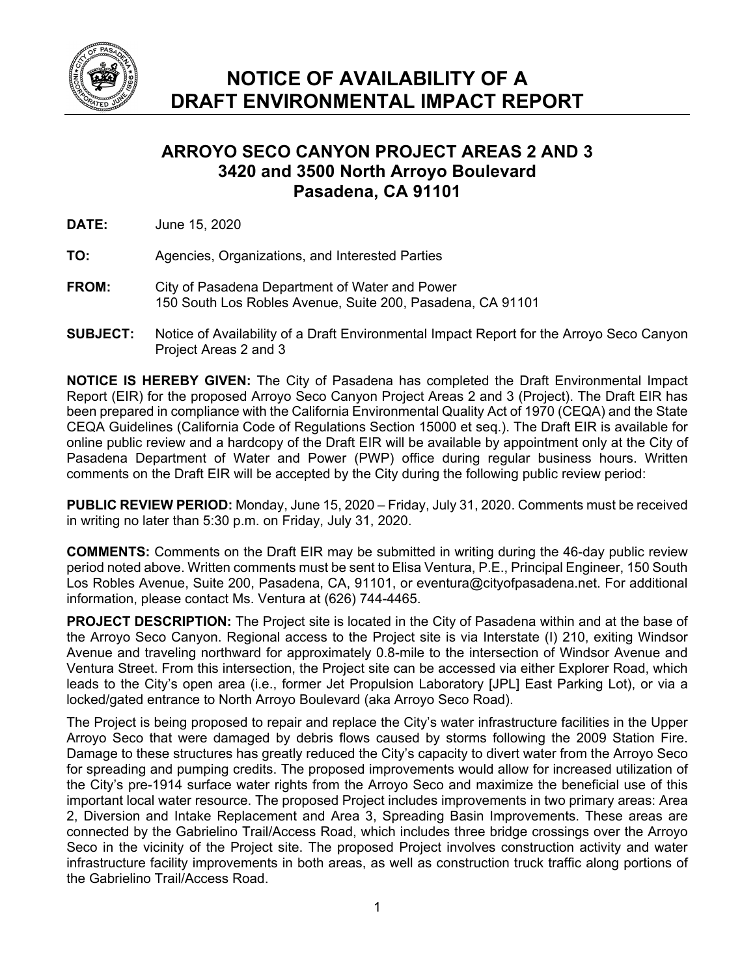

## **ARROYO SECO CANYON PROJECT AREAS 2 AND 3 3420 and 3500 North Arroyo Boulevard Pasadena, CA 91101**

**DATE:** June 15, 2020

- **TO:** Agencies, Organizations, and Interested Parties
- **FROM:** City of Pasadena Department of Water and Power 150 South Los Robles Avenue, Suite 200, Pasadena, CA 91101
- **SUBJECT:** Notice of Availability of a Draft Environmental Impact Report for the Arroyo Seco Canyon Project Areas 2 and 3

**NOTICE IS HEREBY GIVEN:** The City of Pasadena has completed the Draft Environmental Impact Report (EIR) for the proposed Arroyo Seco Canyon Project Areas 2 and 3 (Project). The Draft EIR has been prepared in compliance with the California Environmental Quality Act of 1970 (CEQA) and the State CEQA Guidelines (California Code of Regulations Section 15000 et seq.). The Draft EIR is available for online public review and a hardcopy of the Draft EIR will be available by appointment only at the City of Pasadena Department of Water and Power (PWP) office during regular business hours. Written comments on the Draft EIR will be accepted by the City during the following public review period:

**PUBLIC REVIEW PERIOD:** Monday, June 15, 2020 – Friday, July 31, 2020. Comments must be received in writing no later than 5:30 p.m. on Friday, July 31, 2020.

**COMMENTS:** Comments on the Draft EIR may be submitted in writing during the 46-day public review period noted above. Written comments must be sent to Elisa Ventura, P.E., Principal Engineer, 150 South Los Robles Avenue, Suite 200, Pasadena, CA, 91101, or eventura@cityofpasadena.net. For additional information, please contact Ms. Ventura at (626) 744-4465.

**PROJECT DESCRIPTION:** The Project site is located in the City of Pasadena within and at the base of the Arroyo Seco Canyon. Regional access to the Project site is via Interstate (I) 210, exiting Windsor Avenue and traveling northward for approximately 0.8-mile to the intersection of Windsor Avenue and Ventura Street. From this intersection, the Project site can be accessed via either Explorer Road, which leads to the City's open area (i.e., former Jet Propulsion Laboratory [JPL] East Parking Lot), or via a locked/gated entrance to North Arroyo Boulevard (aka Arroyo Seco Road).

The Project is being proposed to repair and replace the City's water infrastructure facilities in the Upper Arroyo Seco that were damaged by debris flows caused by storms following the 2009 Station Fire. Damage to these structures has greatly reduced the City's capacity to divert water from the Arroyo Seco for spreading and pumping credits. The proposed improvements would allow for increased utilization of the City's pre-1914 surface water rights from the Arroyo Seco and maximize the beneficial use of this important local water resource. The proposed Project includes improvements in two primary areas: Area 2, Diversion and Intake Replacement and Area 3, Spreading Basin Improvements. These areas are connected by the Gabrielino Trail/Access Road, which includes three bridge crossings over the Arroyo Seco in the vicinity of the Project site. The proposed Project involves construction activity and water infrastructure facility improvements in both areas, as well as construction truck traffic along portions of the Gabrielino Trail/Access Road.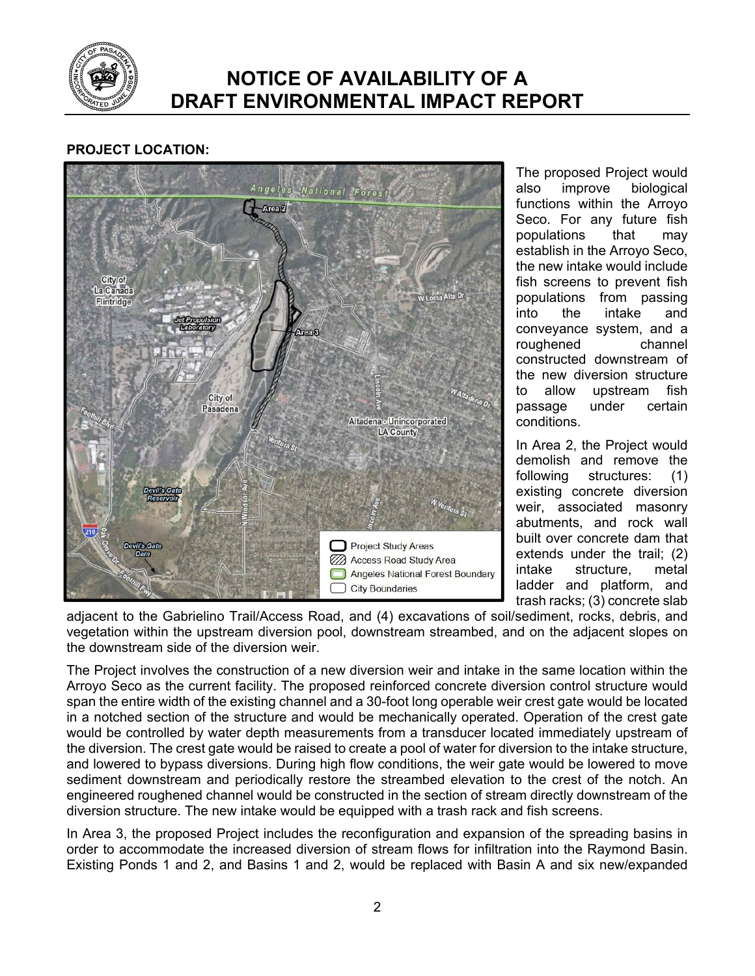

## **NOTICE OF AVAILABILITY OF A DRAFT ENVIRONMENTAL IMPACT REPORT**

## **PROJECT LOCATION:**



The proposed Project would also improve biological functions within the Arroyo Seco. For any future fish populations that may establish in the Arroyo Seco, the new intake would include fish screens to prevent fish populations from passing into the intake and conveyance system, and a roughened channel constructed downstream of the new diversion structure to allow upstream fish passage under certain conditions.

In Area 2, the Project would demolish and remove the following structures: (1) existing concrete diversion weir, associated masonry abutments, and rock wall built over concrete dam that extends under the trail; (2) intake structure, metal ladder and platform, and trash racks; (3) concrete slab

adjacent to the Gabrielino Trail/Access Road, and (4) excavations of soil/sediment, rocks, debris, and vegetation within the upstream diversion pool, downstream streambed, and on the adjacent slopes on the downstream side of the diversion weir.

The Project involves the construction of a new diversion weir and intake in the same location within the Arroyo Seco as the current facility. The proposed reinforced concrete diversion control structure would span the entire width of the existing channel and a 30-foot long operable weir crest gate would be located in a notched section of the structure and would be mechanically operated. Operation of the crest gate would be controlled by water depth measurements from a transducer located immediately upstream of the diversion. The crest gate would be raised to create a pool of water for diversion to the intake structure, and lowered to bypass diversions. During high flow conditions, the weir gate would be lowered to move sediment downstream and periodically restore the streambed elevation to the crest of the notch. An engineered roughened channel would be constructed in the section of stream directly downstream of the diversion structure. The new intake would be equipped with a trash rack and fish screens.

In Area 3, the proposed Project includes the reconfiguration and expansion of the spreading basins in order to accommodate the increased diversion of stream flows for infiltration into the Raymond Basin. Existing Ponds 1 and 2, and Basins 1 and 2, would be replaced with Basin A and six new/expanded